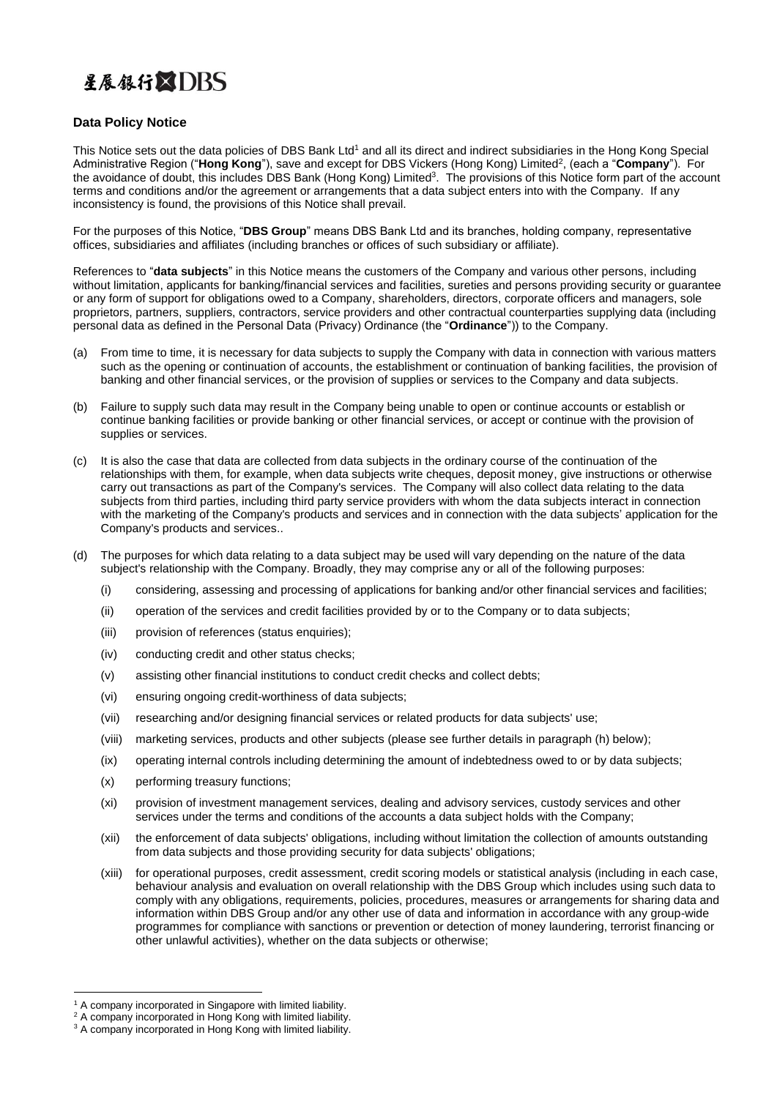## 星展银行XDRS

## **Data Policy Notice**

This Notice sets out the data policies of DBS Bank Ltd<sup>1</sup> and all its direct and indirect subsidiaries in the Hong Kong Special Administrative Region ("**Hong Kong**"), save and except for DBS Vickers (Hong Kong) Limited<sup>2</sup>, (each a "**Company**"). For the avoidance of doubt, this includes DBS Bank (Hong Kong) Limited<sup>3</sup>. The provisions of this Notice form part of the account terms and conditions and/or the agreement or arrangements that a data subject enters into with the Company. If any inconsistency is found, the provisions of this Notice shall prevail.

For the purposes of this Notice, "**DBS Group**" means DBS Bank Ltd and its branches, holding company, representative offices, subsidiaries and affiliates (including branches or offices of such subsidiary or affiliate).

References to "**data subjects**" in this Notice means the customers of the Company and various other persons, including without limitation, applicants for banking/financial services and facilities, sureties and persons providing security or guarantee or any form of support for obligations owed to a Company, shareholders, directors, corporate officers and managers, sole proprietors, partners, suppliers, contractors, service providers and other contractual counterparties supplying data (including personal data as defined in the Personal Data (Privacy) Ordinance (the "**Ordinance**")) to the Company.

- (a) From time to time, it is necessary for data subjects to supply the Company with data in connection with various matters such as the opening or continuation of accounts, the establishment or continuation of banking facilities, the provision of banking and other financial services, or the provision of supplies or services to the Company and data subjects.
- (b) Failure to supply such data may result in the Company being unable to open or continue accounts or establish or continue banking facilities or provide banking or other financial services, or accept or continue with the provision of supplies or services.
- (c) It is also the case that data are collected from data subjects in the ordinary course of the continuation of the relationships with them, for example, when data subjects write cheques, deposit money, give instructions or otherwise carry out transactions as part of the Company's services. The Company will also collect data relating to the data subjects from third parties, including third party service providers with whom the data subjects interact in connection with the marketing of the Company's products and services and in connection with the data subjects' application for the Company's products and services..
- (d) The purposes for which data relating to a data subject may be used will vary depending on the nature of the data subject's relationship with the Company. Broadly, they may comprise any or all of the following purposes:
	- (i) considering, assessing and processing of applications for banking and/or other financial services and facilities;
	- (ii) operation of the services and credit facilities provided by or to the Company or to data subjects;
	- (iii) provision of references (status enquiries);
	- (iv) conducting credit and other status checks;
	- (v) assisting other financial institutions to conduct credit checks and collect debts;
	- (vi) ensuring ongoing credit-worthiness of data subjects;
	- (vii) researching and/or designing financial services or related products for data subjects' use;
	- (viii) marketing services, products and other subjects (please see further details in paragraph (h) below);
	- (ix) operating internal controls including determining the amount of indebtedness owed to or by data subjects;
	- (x) performing treasury functions;
	- (xi) provision of investment management services, dealing and advisory services, custody services and other services under the terms and conditions of the accounts a data subject holds with the Company;
	- (xii) the enforcement of data subjects' obligations, including without limitation the collection of amounts outstanding from data subjects and those providing security for data subjects' obligations;
	- (xiii) for operational purposes, credit assessment, credit scoring models or statistical analysis (including in each case, behaviour analysis and evaluation on overall relationship with the DBS Group which includes using such data to comply with any obligations, requirements, policies, procedures, measures or arrangements for sharing data and information within DBS Group and/or any other use of data and information in accordance with any group-wide programmes for compliance with sanctions or prevention or detection of money laundering, terrorist financing or other unlawful activities), whether on the data subjects or otherwise;

<sup>&</sup>lt;sup>1</sup> A company incorporated in Singapore with limited liability.

<sup>&</sup>lt;sup>2</sup> A company incorporated in Hong Kong with limited liability.

<sup>&</sup>lt;sup>3</sup> A company incorporated in Hong Kong with limited liability.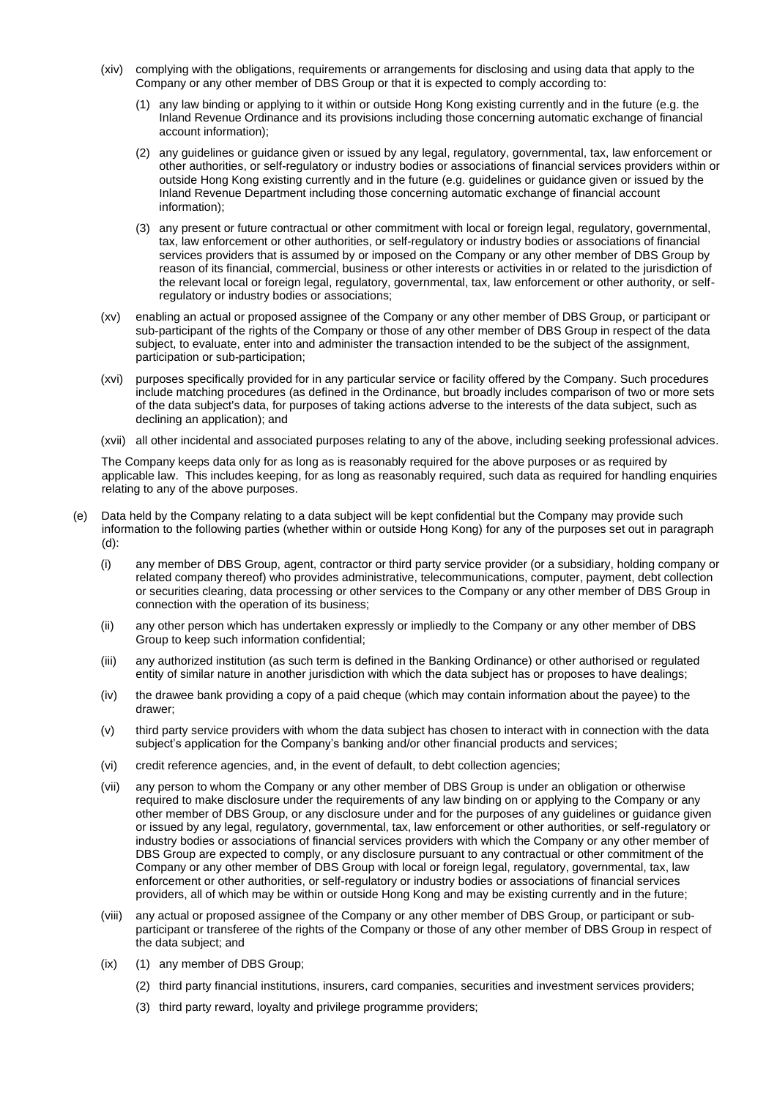- (xiv) complying with the obligations, requirements or arrangements for disclosing and using data that apply to the Company or any other member of DBS Group or that it is expected to comply according to:
	- (1) any law binding or applying to it within or outside Hong Kong existing currently and in the future (e.g. the Inland Revenue Ordinance and its provisions including those concerning automatic exchange of financial account information);
	- (2) any guidelines or guidance given or issued by any legal, regulatory, governmental, tax, law enforcement or other authorities, or self-regulatory or industry bodies or associations of financial services providers within or outside Hong Kong existing currently and in the future (e.g. guidelines or guidance given or issued by the Inland Revenue Department including those concerning automatic exchange of financial account information);
	- (3) any present or future contractual or other commitment with local or foreign legal, regulatory, governmental, tax, law enforcement or other authorities, or self-regulatory or industry bodies or associations of financial services providers that is assumed by or imposed on the Company or any other member of DBS Group by reason of its financial, commercial, business or other interests or activities in or related to the jurisdiction of the relevant local or foreign legal, regulatory, governmental, tax, law enforcement or other authority, or selfregulatory or industry bodies or associations;
- (xv) enabling an actual or proposed assignee of the Company or any other member of DBS Group, or participant or sub-participant of the rights of the Company or those of any other member of DBS Group in respect of the data subject, to evaluate, enter into and administer the transaction intended to be the subject of the assignment, participation or sub-participation;
- (xvi) purposes specifically provided for in any particular service or facility offered by the Company. Such procedures include matching procedures (as defined in the Ordinance, but broadly includes comparison of two or more sets of the data subject's data, for purposes of taking actions adverse to the interests of the data subject, such as declining an application); and
- (xvii) all other incidental and associated purposes relating to any of the above, including seeking professional advices.

The Company keeps data only for as long as is reasonably required for the above purposes or as required by applicable law. This includes keeping, for as long as reasonably required, such data as required for handling enquiries relating to any of the above purposes.

- (e) Data held by the Company relating to a data subject will be kept confidential but the Company may provide such information to the following parties (whether within or outside Hong Kong) for any of the purposes set out in paragraph (d):
	- (i) any member of DBS Group, agent, contractor or third party service provider (or a subsidiary, holding company or related company thereof) who provides administrative, telecommunications, computer, payment, debt collection or securities clearing, data processing or other services to the Company or any other member of DBS Group in connection with the operation of its business;
	- (ii) any other person which has undertaken expressly or impliedly to the Company or any other member of DBS Group to keep such information confidential;
	- (iii) any authorized institution (as such term is defined in the Banking Ordinance) or other authorised or regulated entity of similar nature in another jurisdiction with which the data subject has or proposes to have dealings;
	- (iv) the drawee bank providing a copy of a paid cheque (which may contain information about the payee) to the drawer;
	- (v) third party service providers with whom the data subject has chosen to interact with in connection with the data subject's application for the Company's banking and/or other financial products and services;
	- (vi) credit reference agencies, and, in the event of default, to debt collection agencies;
	- (vii) any person to whom the Company or any other member of DBS Group is under an obligation or otherwise required to make disclosure under the requirements of any law binding on or applying to the Company or any other member of DBS Group, or any disclosure under and for the purposes of any guidelines or guidance given or issued by any legal, regulatory, governmental, tax, law enforcement or other authorities, or self-regulatory or industry bodies or associations of financial services providers with which the Company or any other member of DBS Group are expected to comply, or any disclosure pursuant to any contractual or other commitment of the Company or any other member of DBS Group with local or foreign legal, regulatory, governmental, tax, law enforcement or other authorities, or self-regulatory or industry bodies or associations of financial services providers, all of which may be within or outside Hong Kong and may be existing currently and in the future;
	- (viii) any actual or proposed assignee of the Company or any other member of DBS Group, or participant or subparticipant or transferee of the rights of the Company or those of any other member of DBS Group in respect of the data subject; and
	- (ix) (1) any member of DBS Group;
		- (2) third party financial institutions, insurers, card companies, securities and investment services providers;
		- (3) third party reward, loyalty and privilege programme providers;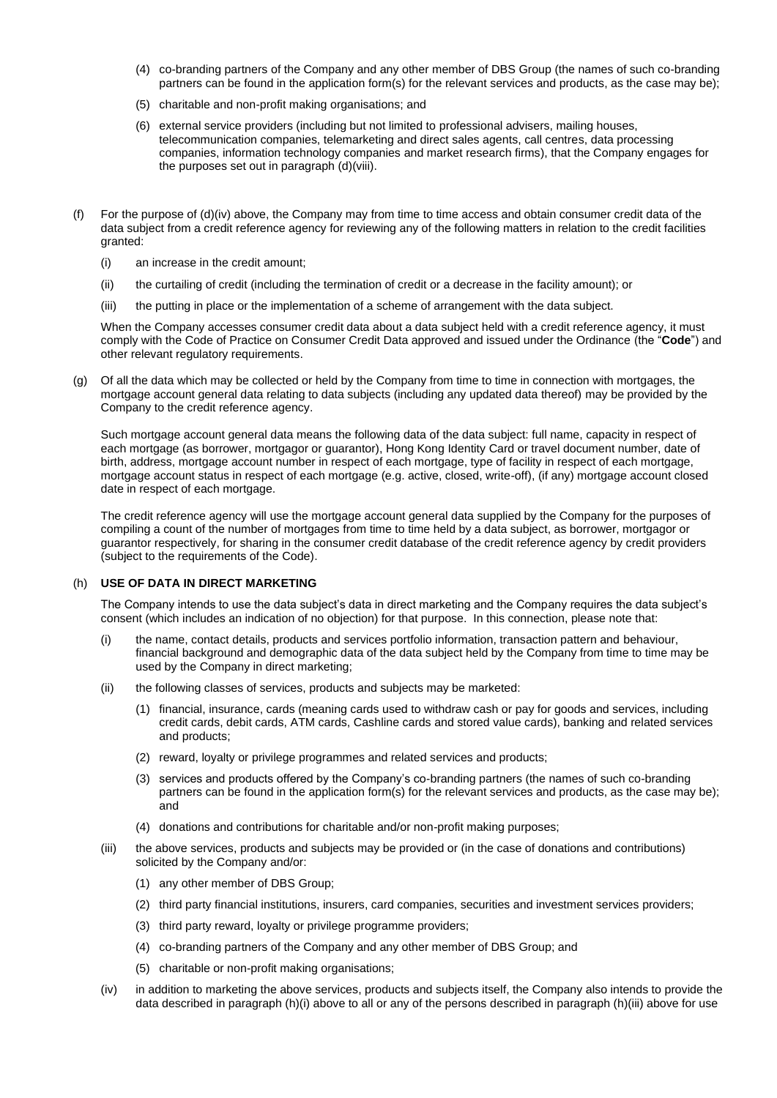- (4) co-branding partners of the Company and any other member of DBS Group (the names of such co-branding partners can be found in the application form(s) for the relevant services and products, as the case may be);
- (5) charitable and non-profit making organisations; and
- (6) external service providers (including but not limited to professional advisers, mailing houses, telecommunication companies, telemarketing and direct sales agents, call centres, data processing companies, information technology companies and market research firms), that the Company engages for the purposes set out in paragraph (d)(viii).
- (f) For the purpose of  $(d)(iv)$  above, the Company may from time to time access and obtain consumer credit data of the data subject from a credit reference agency for reviewing any of the following matters in relation to the credit facilities granted:
	- (i) an increase in the credit amount;
	- (ii) the curtailing of credit (including the termination of credit or a decrease in the facility amount); or
	- (iii) the putting in place or the implementation of a scheme of arrangement with the data subject.

When the Company accesses consumer credit data about a data subject held with a credit reference agency, it must comply with the Code of Practice on Consumer Credit Data approved and issued under the Ordinance (the "**Code**") and other relevant regulatory requirements.

(g) Of all the data which may be collected or held by the Company from time to time in connection with mortgages, the mortgage account general data relating to data subjects (including any updated data thereof) may be provided by the Company to the credit reference agency.

Such mortgage account general data means the following data of the data subject: full name, capacity in respect of each mortgage (as borrower, mortgagor or guarantor), Hong Kong Identity Card or travel document number, date of birth, address, mortgage account number in respect of each mortgage, type of facility in respect of each mortgage, mortgage account status in respect of each mortgage (e.g. active, closed, write-off), (if any) mortgage account closed date in respect of each mortgage.

The credit reference agency will use the mortgage account general data supplied by the Company for the purposes of compiling a count of the number of mortgages from time to time held by a data subject, as borrower, mortgagor or guarantor respectively, for sharing in the consumer credit database of the credit reference agency by credit providers (subject to the requirements of the Code).

## (h) **USE OF DATA IN DIRECT MARKETING**

The Company intends to use the data subject's data in direct marketing and the Company requires the data subject's consent (which includes an indication of no objection) for that purpose. In this connection, please note that:

- (i) the name, contact details, products and services portfolio information, transaction pattern and behaviour, financial background and demographic data of the data subject held by the Company from time to time may be used by the Company in direct marketing;
- (ii) the following classes of services, products and subjects may be marketed:
	- (1) financial, insurance, cards (meaning cards used to withdraw cash or pay for goods and services, including credit cards, debit cards, ATM cards, Cashline cards and stored value cards), banking and related services and products;
	- (2) reward, loyalty or privilege programmes and related services and products;
	- (3) services and products offered by the Company's co-branding partners (the names of such co-branding partners can be found in the application form(s) for the relevant services and products, as the case may be); and
	- (4) donations and contributions for charitable and/or non-profit making purposes;
- (iii) the above services, products and subjects may be provided or (in the case of donations and contributions) solicited by the Company and/or:
	- (1) any other member of DBS Group;
	- (2) third party financial institutions, insurers, card companies, securities and investment services providers;
	- (3) third party reward, loyalty or privilege programme providers;
	- (4) co-branding partners of the Company and any other member of DBS Group; and
	- (5) charitable or non-profit making organisations;
- (iv) in addition to marketing the above services, products and subjects itself, the Company also intends to provide the data described in paragraph (h)(i) above to all or any of the persons described in paragraph (h)(iii) above for use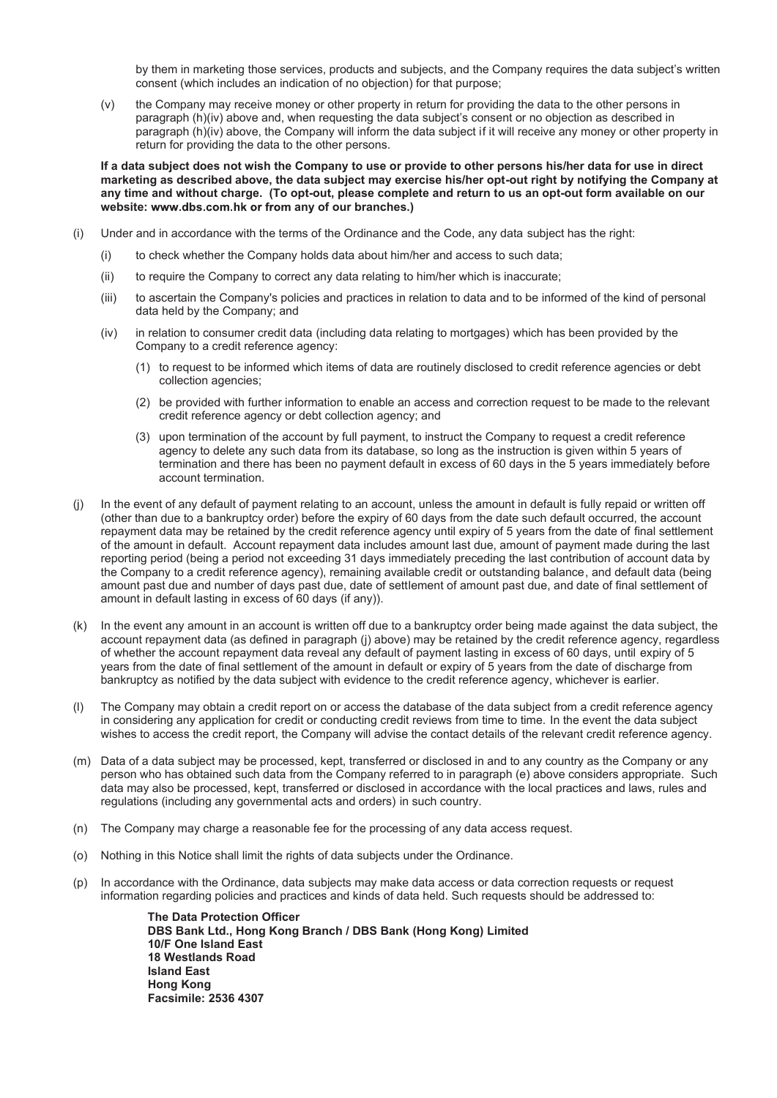by them in marketing those services, products and subjects, and the Company requires the data subject's written consent (which includes an indication of no objection) for that purpose;

(v) the Company may receive money or other property in return for providing the data to the other persons in paragraph (h)(iv) above and, when requesting the data subject's consent or no objection as described in paragraph (h)(iv) above, the Company will inform the data subject if it will receive any money or other property in return for providing the data to the other persons.

If a data subject does not wish the Company to use or provide to other persons his/her data for use in direct **marketing as described above, the data subject may exercise his/her opt-out right by notifying the Company at any time and without charge. (To opt-out, please complete and return to us an opt-out form available on our website: any of our branches.)** 

- (i) Under and in accordance with the terms of the Ordinance and the Code, any data subject has the right:
	- (i) to check whether the Company holds data about him/her and access to such data;
	- (ii) to require the Company to correct any data relating to him/her which is inaccurate;
	- (iii) to ascertain the Company's policies and practices in relation to data and to be informed of the kind of personal data held by the Company; and
	- (iv) in relation to consumer credit data (including data relating to mortgages) which has been provided by the Company to a credit reference agency:
		- (1) to request to be informed which items of data are routinely disclosed to credit reference agencies or debt collection agencies;
		- (2) be provided with further information to enable an access and correction request to be made to the relevant credit reference agency or debt collection agency; and
		- (3) upon termination of the account by full payment, to instruct the Company to request a credit reference agency to delete any such data from its database, so long as the instruction is given within 5 years of termination and there has been no payment default in excess of 60 days in the 5 years immediately before account termination.
- (j) In the event of any default of payment relating to an account, unless the amount in default is fully repaid or written off (other than due to a bankruptcy order) before the expiry of 60 days from the date such default occurred, the account repayment data may be retained by the credit reference agency until expiry of 5 years from the date of final settlement of the amount in default. Account repayment data includes amount last due, amount of payment made during the last reporting period (being a period not exceeding 31 days immediately preceding the last contribution of account data by the Company to a credit reference agency), remaining available credit or outstanding balance, and default data (being amount past due and number of days past due, date of settlement of amount past due, and date of final settlement of amount in default lasting in excess of 60 days (if any)).
- (k) In the event any amount in an account is written off due to a bankruptcy order being made against the data subject, the account repayment data (as defined in paragraph (j) above) may be retained by the credit reference agency, regardless of whether the account repayment data reveal any default of payment lasting in excess of 60 days, until expiry of 5 years from the date of final settlement of the amount in default or expiry of 5 years from the date of discharge from bankruptcy as notified by the data subject with evidence to the credit reference agency, whichever is earlier.
- (l) The Company may obtain a credit report on or access the database of the data subject from a credit reference agency in considering any application for credit or conducting credit reviews from time to time. In the event the data subject wishes to access the credit report, the Company will advise the contact details of the relevant credit reference agency.
- (m) Data of a data subject may be processed, kept, transferred or disclosed in and to any country as the Company or any person who has obtained such data from the Company referred to in paragraph (e) above considers appropriate. Such data may also be processed, kept, transferred or disclosed in accordance with the local practices and laws, rules and regulations (including any governmental acts and orders) in such country.
- (n) The Company may charge a reasonable fee for the processing of any data access request.
- (o) Nothing in this Notice shall limit the rights of data subjects under the Ordinance.
- (p) In accordance with the Ordinance, data subjects may make data access or data correction requests or request information regarding policies and practices and kinds of data held. Such requests should be addressed to:

**The Data Protection Officer DBS Bank Ltd., Hong Kong Branch / DBS Bank (Hong Kong) Limited 10/F One Island East 18 Westlands Road Island East Hong Kong Facsimile: 2536 4307**